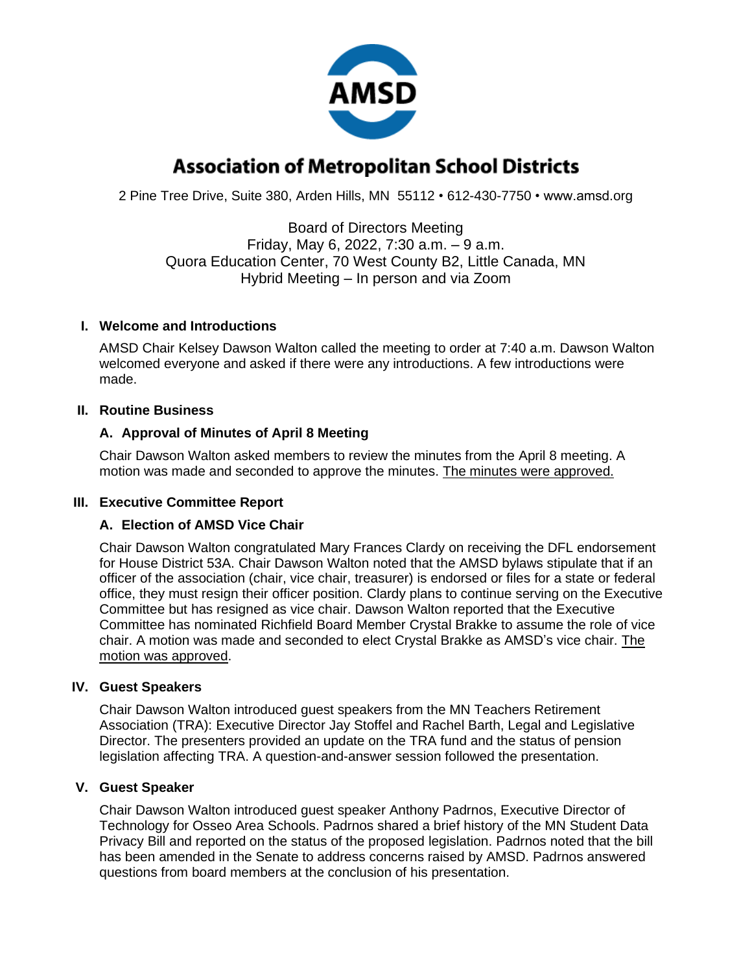

# **Association of Metropolitan School Districts**

2 Pine Tree Drive, Suite 380, Arden Hills, MN 55112 • 612-430-7750 • www.amsd.org

Board of Directors Meeting Friday, May 6, 2022, 7:30 a.m. – 9 a.m. Quora Education Center, 70 West County B2, Little Canada, MN Hybrid Meeting – In person and via Zoom

#### **I. Welcome and Introductions**

AMSD Chair Kelsey Dawson Walton called the meeting to order at 7:40 a.m. Dawson Walton welcomed everyone and asked if there were any introductions. A few introductions were made.

## **II. Routine Business**

## **A. Approval of Minutes of April 8 Meeting**

Chair Dawson Walton asked members to review the minutes from the April 8 meeting. A motion was made and seconded to approve the minutes. The minutes were approved.

# **III. Executive Committee Report**

#### **A. Election of AMSD Vice Chair**

Chair Dawson Walton congratulated Mary Frances Clardy on receiving the DFL endorsement for House District 53A. Chair Dawson Walton noted that the AMSD bylaws stipulate that if an officer of the association (chair, vice chair, treasurer) is endorsed or files for a state or federal office, they must resign their officer position. Clardy plans to continue serving on the Executive Committee but has resigned as vice chair. Dawson Walton reported that the Executive Committee has nominated Richfield Board Member Crystal Brakke to assume the role of vice chair. A motion was made and seconded to elect Crystal Brakke as AMSD's vice chair. The motion was approved.

#### **IV. Guest Speakers**

Chair Dawson Walton introduced guest speakers from the MN Teachers Retirement Association (TRA): Executive Director Jay Stoffel and Rachel Barth, Legal and Legislative Director. The presenters provided an update on the TRA fund and the status of pension legislation affecting TRA. A question-and-answer session followed the presentation.

#### **V. Guest Speaker**

Chair Dawson Walton introduced guest speaker Anthony Padrnos, Executive Director of Technology for Osseo Area Schools. Padrnos shared a brief history of the MN Student Data Privacy Bill and reported on the status of the proposed legislation. Padrnos noted that the bill has been amended in the Senate to address concerns raised by AMSD. Padrnos answered questions from board members at the conclusion of his presentation.